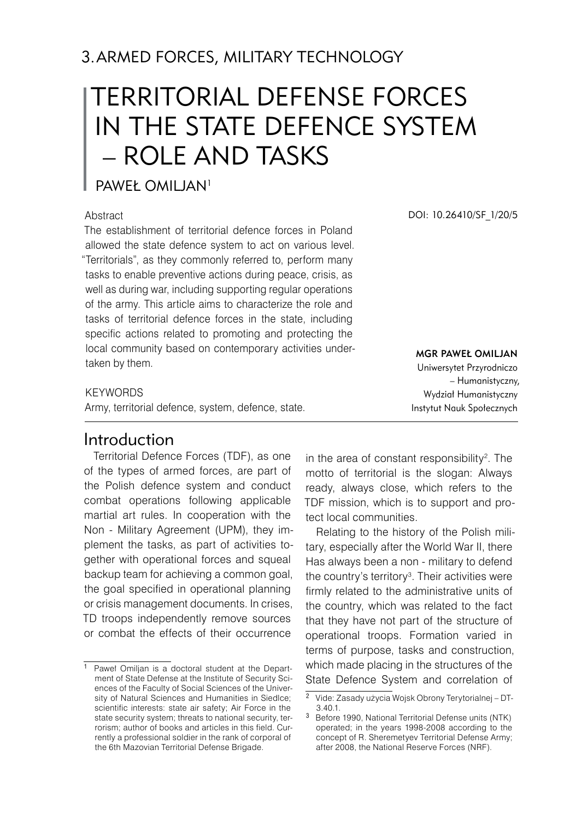# TERRITORIAL DEFENSE FORCES IN THE STATE DEFENCE SYSTEM – ROLE AND TASKS

### Paweł Omiljan<sup>1</sup>

#### **Abstract**

The establishment of territorial defence forces in Poland allowed the state defence system to act on various level. "Territorials", as they commonly referred to, perform many tasks to enable preventive actions during peace, crisis, as well as during war, including supporting regular operations of the army. This article aims to characterize the role and tasks of territorial defence forces in the state, including specific actions related to promoting and protecting the local community based on contemporary activities undertaken by them.

DOI: 10.26410/SF\_1/20/5

mgr Paweł Omiljan Uniwersytet Przyrodniczo – Humanistyczny, Wydział Humanistyczny Instytut Nauk Społecznych

#### **KEYWORDS**

Army, territorial defence, system, defence, state.

# **Introduction**

Territorial Defence Forces (TDF), as one of the types of armed forces, are part of the Polish defence system and conduct combat operations following applicable martial art rules. In cooperation with the Non - Military Agreement (UPM), they implement the tasks, as part of activities together with operational forces and squeal backup team for achieving a common goal, the goal specified in operational planning or crisis management documents. In crises, TD troops independently remove sources or combat the effects of their occurrence

in the area of constant responsibility . The motto of territorial is the slogan: Always ready, always close, which refers to the TDF mission, which is to support and protect local communities.

Relating to the history of the Polish military, especially after the World War II, there Has always been a non - military to defend the country's territory . Their activities were firmly related to the administrative units of the country, which was related to the fact that they have not part of the structure of operational troops. Formation varied in terms of purpose, tasks and construction, which made placing in the structures of the State Defence System and correlation of

<sup>&</sup>lt;sup>1</sup> Paweł Omiljan is a doctoral student at the Department of State Defense at the Institute of Security Sciences of the Faculty of Social Sciences of the University of Natural Sciences and Humanities in Siedlce; scientific interests: state air safety; Air Force in the state security system; threats to national security, terrorism; author of books and articles in this field. Currently a professional soldier in the rank of corporal of the 6th Mazovian Territorial Defense Brigade.

Vide: Zasady użycia Wojsk Obrony Terytorialnej – DT- 3.40.1.

<sup>&</sup>lt;sup>3</sup> Before 1990, National Territorial Defense units (NTK) operated; in the years 1998-2008 according to the concept of R. Sheremetyev Territorial Defense Army; after 2008, the National Reserve Forces (NRF).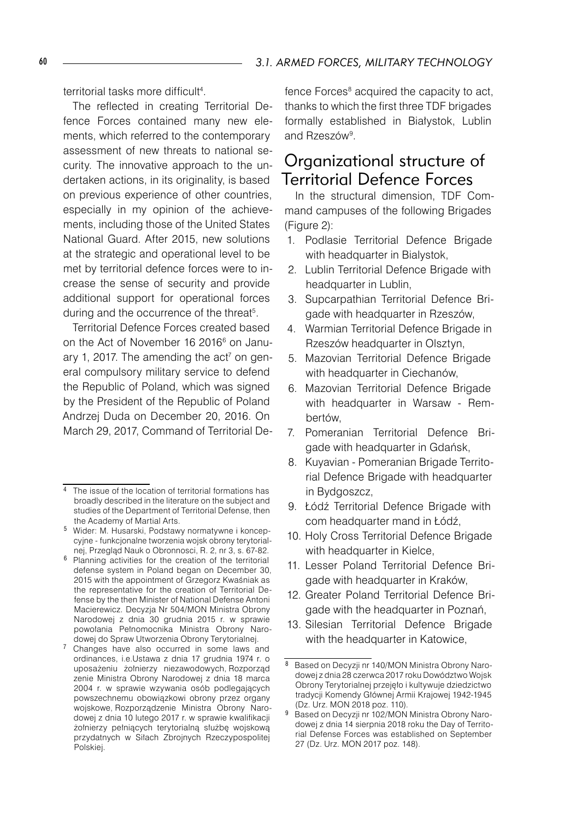territorial tasks more difficult<sup>4</sup>

The reflected in creating Territorial Defence Forces contained many new elements, which referred to the contemporary assessment of new threats to national security. The innovative approach to the undertaken actions, in its originality, is based on previous experience of other countries, especially in my opinion of the achievements, including those of the United States National Guard. After 2015, new solutions at the strategic and operational level to be met by territorial defence forces were to increase the sense of security and provide additional support for operational forces during and the occurrence of the threat<sup>5</sup>.

Territorial Defence Forces created based on the Act of November 16 2016<sup>6</sup> on January 1, 2017. The amending the  $act<sup>7</sup>$  on general compulsory military service to defend the Republic of Poland, which was signed by the President of the Republic of Poland Andrzej Duda on December 20, 2016. On March 29, 2017, Command of Territorial De-

- Wider: M. Husarski, Podstawy normatywne i koncepcyjne - funkcjonalne tworzenia wojsk obrony terytorialnej, Przegląd Nauk o Obronnosci, R. 2, nr 3, s. 67-82.
- <sup>6</sup> Planning activities for the creation of the territorial defense system in Poland began on December 30, 2015 with the appointment of Grzegorz Kwaśniak as the representative for the creation of Territorial Defense by the then Minister of National Defense Antoni Macierewicz. Decyzja Nr 504/MON Ministra Obrony Narodowej z dnia 30 grudnia 2015 r. w sprawie powołania Pełnomocnika Ministra Obrony Narodowej do Spraw Utworzenia Obrony Terytorialnej.
- <sup>7</sup> Changes have also occurred in some laws and ordinances, i.e.Ustawa z dnia 17 grudnia 1974 r. o uposażeniu żołnierzy niezawodowych, Rozporząd zenie Ministra Obrony Narodowej z dnia 18 marca 2004 r. w sprawie wzywania osób podlegających powszechnemu obowiązkowi obrony przez organy wojskowe, Rozporządzenie Ministra Obrony Narodowej z dnia 10 lutego 2017 r. w sprawie kwalifikacji żołnierzy pełniących terytorialną służbę wojskową przydatnych w Siłach Zbrojnych Rzeczypospolitej Polskiej.

fence Forces<sup>8</sup> acquired the capacity to act, thanks to which the first three TDF brigades formally established in Białystok, Lublin and Rzeszów<sup>9</sup>.

### Organizational structure of Territorial Defence Forces

In the structural dimension, TDF Command campuses of the following Brigades (Figure 2):

- 1. Podlasie Territorial Defence Brigade with headquarter in Bialystok,
- 2. Lublin Territorial Defence Brigade with headquarter in Lublin,
- 3. Supcarpathian Territorial Defence Brigade with headquarter in Rzeszów,
- 4. Warmian Territorial Defence Brigade in Rzeszów headquarter in Olsztyn,
- 5. Mazovian Territorial Defence Brigade with headquarter in Ciechanów,
- 6. Mazovian Territorial Defence Brigade with headquarter in Warsaw - Rembertów,
- 7. Pomeranian Territorial Defence Brigade with headquarter in Gdańsk,
- 8. Kuyavian Pomeranian Brigade Territorial Defence Brigade with headquarter in Bydgoszcz,
- 9. Łódź Territorial Defence Brigade with com headquarter mand in Łódź,
- 10. Holy Cross Territorial Defence Brigade with headquarter in Kielce,
- 11. Lesser Poland Territorial Defence Brigade with headquarter in Kraków,
- 12. Greater Poland Territorial Defence Brigade with the headquarter in Poznań,
- 13. Silesian Territorial Defence Brigade with the headquarter in Katowice,

The issue of the location of territorial formations has broadly described in the literature on the subject and studies of the Department of Territorial Defense, then the Academy of Martial Arts.

<sup>8</sup> Based on Decyzji nr 140/MON Ministra Obrony Narodowej z dnia 28 czerwca 2017 roku Dowództwo Wojsk Obrony Terytorialnej przejęło i kultywuje dziedzictwo tradycji Komendy Głównej Armii Krajowej 1942-1945 (Dz. Urz. MON 2018 poz. 110).

<sup>&</sup>lt;sup>9</sup> Based on Decyzji nr 102/MON Ministra Obrony Narodowej z dnia 14 sierpnia 2018 roku the Day of Territorial Defense Forces was established on September 27 (Dz. Urz. MON 2017 poz. 148).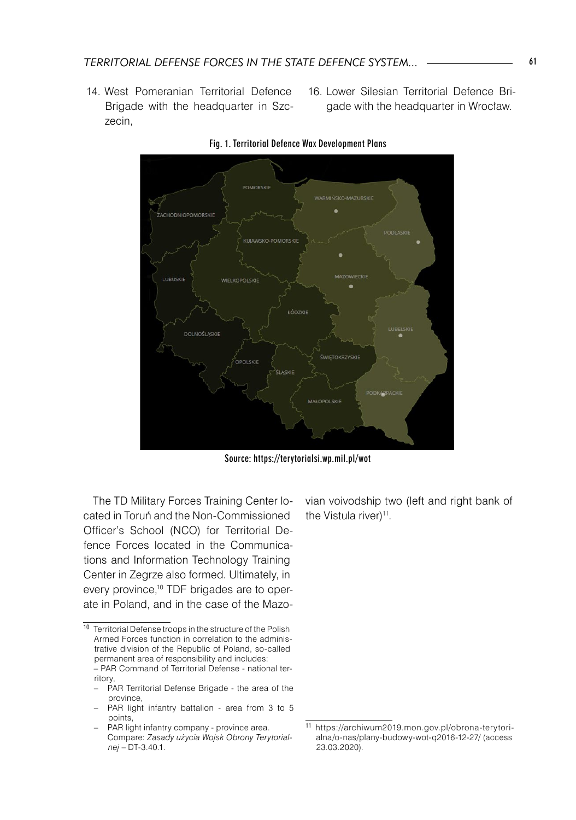- 14. West Pomeranian Territorial Defence Brigade with the headquarter in Szczecin,
- 16. Lower Silesian Territorial Defence Brigade with the headquarter in Wrocław.





Source: https://terytorialsi.wp.mil.pl/wot

The TD Military Forces Training Center located in Toruń and the Non-Commissioned Officer's School (NCO) for Territorial Defence Forces located in the Communications and Information Technology Training Center in Zegrze also formed. Ultimately, in every province,<sup>10</sup> TDF brigades are to operate in Poland, and in the case of the Mazo-

- PAR Territorial Defense Brigade the area of the province,
- PAR light infantry battalion area from 3 to 5 points,

vian voivodship two (left and right bank of the Vistula river)<sup>11</sup>.

<sup>10</sup> Territorial Defense troops in the structure of the Polish Armed Forces function in correlation to the administrative division of the Republic of Poland, so-called permanent area of responsibility and includes:

 <sup>−</sup> PAR Command of Territorial Defense - national territory

PAR light infantry company - province area. Compare: *Zasady użycia Wojsk Obrony Terytorialnej* – DT-3.40.1.

<sup>11</sup> https://archiwum2019.mon.gov.pl/obrona-terytorialna/o-nas/plany-budowy-wot-q2016-12-27/ (access 23.03.2020).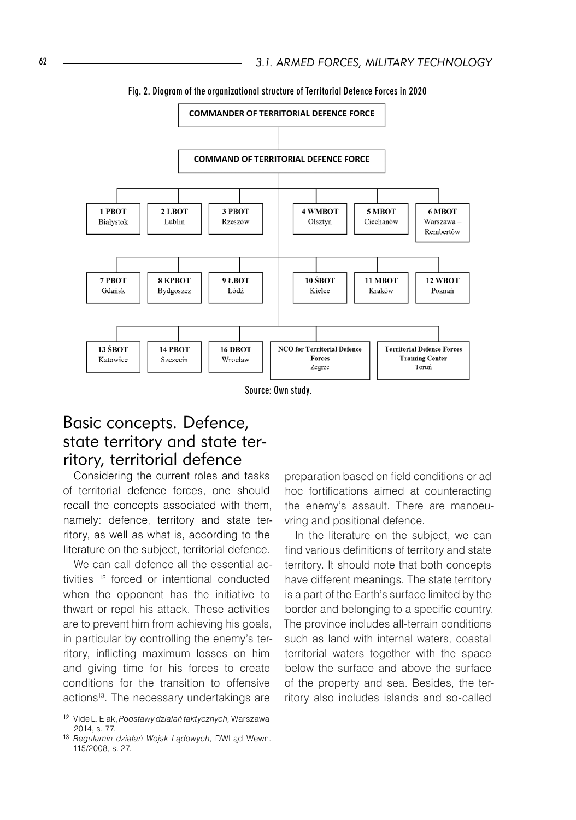

Fig. 2. Diagram of the organizational structure of Territorial Defence Forces in 2020

Source: Own study.

# Basic concepts. Defence, state territory and state territory, territorial defence

Considering the current roles and tasks of territorial defence forces, one should recall the concepts associated with them, namely: defence, territory and state territory, as well as what is, according to the literature on the subject, territorial defence.

We can call defence all the essential activities 12 forced or intentional conducted when the opponent has the initiative to thwart or repel his attack. These activities are to prevent him from achieving his goals, in particular by controlling the enemy's territory, inflicting maximum losses on him and giving time for his forces to create conditions for the transition to offensive actions<sup>13</sup>. The necessary undertakings are

preparation based on field conditions or ad hoc fortifications aimed at counteracting the enemy's assault. There are manoeuvring and positional defence.

In the literature on the subject, we can find various definitions of territory and state territory. It should note that both concepts have different meanings. The state territory is a part of the Earth's surface limited by the border and belonging to a specific country. The province includes all-terrain conditions such as land with internal waters, coastal territorial waters together with the space below the surface and above the surface of the property and sea. Besides, the territory also includes islands and so-called

<sup>12</sup> Vide L. Elak, *Podstawy działań taktycznych,* Warszawa 2014, s. 77.

<sup>13</sup> *Regulamin działań Wojsk Lądowych*, DWLąd Wewn. 115/2008, s. 27.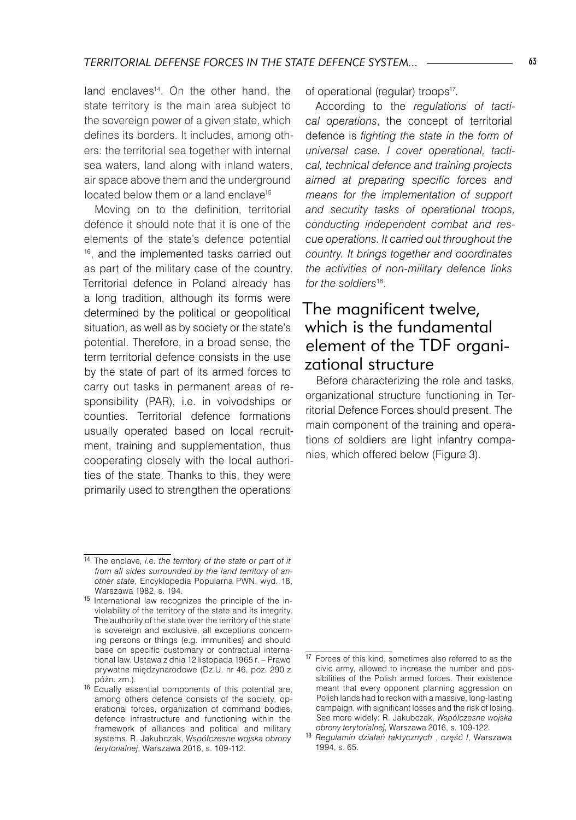land enclaves<sup>14</sup>. On the other hand, the state territory is the main area subject to the sovereign power of a given state, which defines its borders. It includes, among others: the territorial sea together with internal sea waters, land along with inland waters, air space above them and the underground located below them or a land enclave<sup>15</sup>

Moving on to the definition, territorial defence it should note that it is one of the elements of the state's defence potential 16, and the implemented tasks carried out as part of the military case of the country. Territorial defence in Poland already has a long tradition, although its forms were determined by the political or geopolitical situation, as well as by society or the state's potential. Therefore, in a broad sense, the term territorial defence consists in the use by the state of part of its armed forces to carry out tasks in permanent areas of responsibility (PAR), i.e. in voivodships or counties. Territorial defence formations usually operated based on local recruitment, training and supplementation, thus cooperating closely with the local authorities of the state. Thanks to this, they were primarily used to strengthen the operations

of operational (regular) troops<sup>17</sup>.

According to the *regulations of tactical operations*, the concept of territorial defence is *fighting the state in the form of universal case. I cover operational, tactical, technical defence and training projects aimed at preparing specific forces and means for the implementation of support and security tasks of operational troops, conducting independent combat and rescue operations. It carried out throughout the country. It brings together and coordinates the activities of non-military defence links for the soldiers*18.

# The magnificent twelve, which is the fundamental element of the TDF organizational structure

Before characterizing the role and tasks, organizational structure functioning in Territorial Defence Forces should present. The main component of the training and operations of soldiers are light infantry companies, which offered below (Figure 3).

<sup>14</sup> The enclave*, i.e. the territory of the state or part of it from all sides surrounded by the land territory of another state*, Encyklopedia Popularna PWN, wyd. 18, Warszawa 1982, s. 194.

<sup>15</sup> International law recognizes the principle of the inviolability of the territory of the state and its integrity. The authority of the state over the territory of the state is sovereign and exclusive, all exceptions concerning persons or things (e.g. immunities) and should base on specific customary or contractual international law. Ustawa z dnia 12 listopada 1965 r. – Prawo prywatne międzynarodowe (Dz.U. nr 46, poz. 290 z późn. zm.).

<sup>16</sup> Equally essential components of this potential are, among others defence consists of the society, operational forces, organization of command bodies, defence infrastructure and functioning within the framework of alliances and political and military systems. R. Jakubczak, *Współczesne wojska obrony terytorialnej*, Warszawa 2016, s. 109-112.

<sup>17</sup> Forces of this kind, sometimes also referred to as the civic army, allowed to increase the number and possibilities of the Polish armed forces. Their existence meant that every opponent planning aggression on Polish lands had to reckon with a massive, long-lasting campaign, with significant losses and the risk of losing. See more widely: R. Jakubczak, *Współczesne wojska obrony terytorialnej*, Warszawa 2016, s. 109-122.

<sup>18</sup> *Regulamin działań taktycznych* , *część I*, Warszawa 1994, s. 65.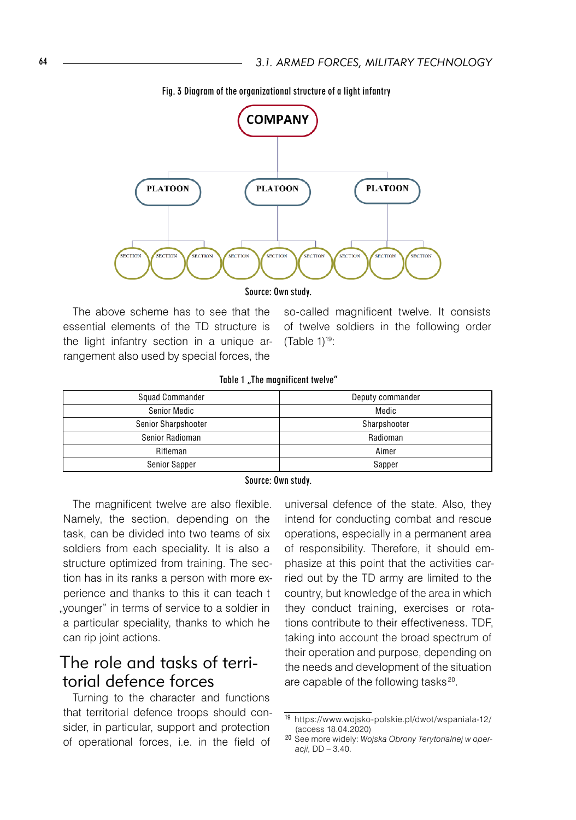

Fig. 3 Diagram of the organizational structure of a light infantry

Source: Own study.

essential elements of the TD structure is the light infantry section in a unique arrangement also used by special forces, the

The above scheme has to see that the so-called magnificent twelve. It consists so-called magnificent twelve. It consists of twelve soldiers in the following order  $(Table 1)<sup>19</sup>$ :

#### Table 1 "The magnificent twelve"

| Squad Commander     | Deputy commander |
|---------------------|------------------|
| Senior Medic        | Medic            |
| Senior Sharpshooter | Sharpshooter     |
| Senior Radioman     | Radioman         |
| Rifleman            | Aimer            |
| Senior Sapper       | Sapper           |

#### Source: Own study.

The magnificent twelve are also flexible. Namely, the section, depending on the task, can be divided into two teams of six soldiers from each speciality. It is also a structure optimized from training. The section has in its ranks a person with more experience and thanks to this it can teach t "younger" in terms of service to a soldier in a particular speciality, thanks to which he can rip joint actions.

# The role and tasks of territorial defence forces

Turning to the character and functions that territorial defence troops should consider, in particular, support and protection of operational forces, i.e. in the field of

universal defence of the state. Also, they intend for conducting combat and rescue operations, especially in a permanent area of responsibility. Therefore, it should emphasize at this point that the activities carried out by the TD army are limited to the country, but knowledge of the area in which they conduct training, exercises or rotations contribute to their effectiveness. TDF, taking into account the broad spectrum of their operation and purpose, depending on the needs and development of the situation are capable of the following tasks<sup>20</sup>.

<sup>19</sup> https://www.wojsko-polskie.pl/dwot/wspaniala-12/ (access 18.04.2020)

<sup>20</sup> See more widely: *Wojska Obrony Terytorialnej w operacji*, DD – 3.40.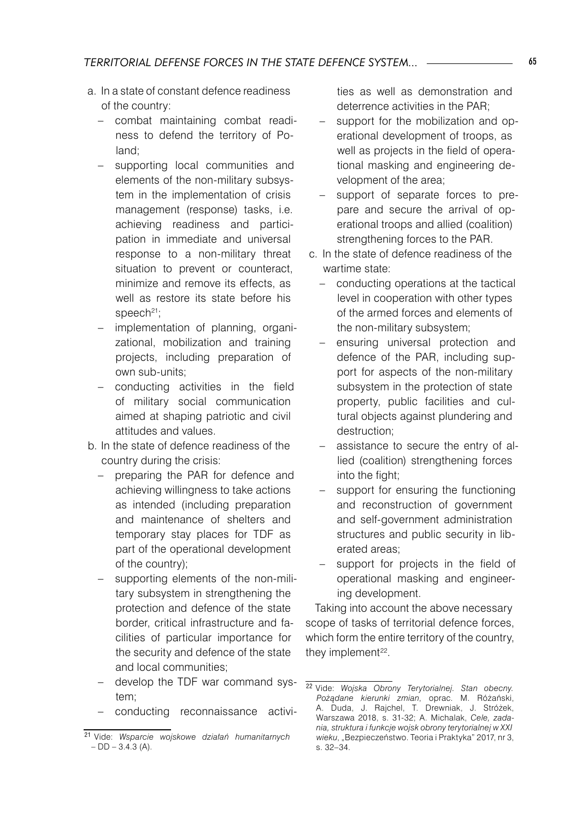- a. In a state of constant defence readiness of the country:
	- combat maintaining combat readiness to defend the territory of Poland;
	- supporting local communities and elements of the non-military subsystem in the implementation of crisis management (response) tasks, i.e. achieving readiness and participation in immediate and universal response to a non-military threat situation to prevent or counteract, minimize and remove its effects, as well as restore its state before his  $\mathsf{speech}^{\mathsf{21}}$ ;
	- implementation of planning, organizational, mobilization and training projects, including preparation of own sub-units;
	- − conducting activities in the field of military social communication aimed at shaping patriotic and civil attitudes and values.
- b. In the state of defence readiness of the country during the crisis:
	- preparing the PAR for defence and achieving willingness to take actions as intended (including preparation and maintenance of shelters and temporary stay places for TDF as part of the operational development of the country);
	- supporting elements of the non-military subsystem in strengthening the protection and defence of the state border, critical infrastructure and facilities of particular importance for the security and defence of the state and local communities;
	- − develop the TDF war command system;
	- conducting reconnaissance activi-

ties as well as demonstration and deterrence activities in the PAR;

- support for the mobilization and operational development of troops, as well as projects in the field of operational masking and engineering development of the area;
- support of separate forces to prepare and secure the arrival of operational troops and allied (coalition) strengthening forces to the PAR.
- c. In the state of defence readiness of the wartime state:
	- conducting operations at the tactical level in cooperation with other types of the armed forces and elements of the non-military subsystem;
	- ensuring universal protection and defence of the PAR, including support for aspects of the non-military subsystem in the protection of state property, public facilities and cultural objects against plundering and destruction;
	- assistance to secure the entry of allied (coalition) strengthening forces into the fight;
	- support for ensuring the functioning and reconstruction of government and self-government administration structures and public security in liberated areas;
	- support for projects in the field of operational masking and engineering development.

Taking into account the above necessary scope of tasks of territorial defence forces, which form the entire territory of the country, they implement<sup>22</sup>.

<sup>21</sup> Vide: *Wsparcie wojskowe działań humanitarnych*   $-$  DD  $-$  3.4.3 (A).

<sup>22</sup> Vide: *Wojska Obrony Terytorialnej. Stan obecny. Pożądane kierunki zmian*, oprac. M. Różański, A. Duda, J. Rajchel, T. Drewniak, J. Stróżek, Warszawa 2018, s. 31-32; A. Michalak, *Cele, zadania, struktura i funkcje wojsk obrony terytorialnej w XXI*  wieku, "Bezpieczeństwo. Teoria i Praktyka" 2017, nr 3, s. 32–34.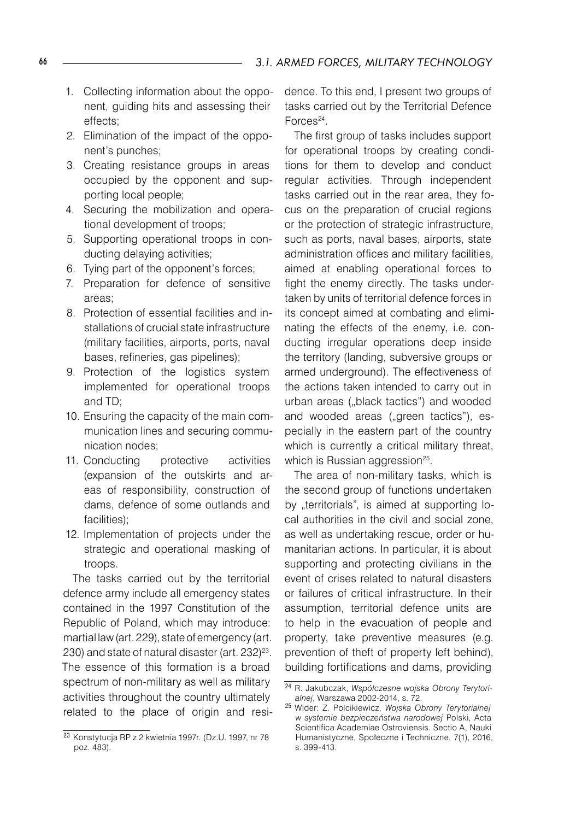- 1. Collecting information about the opponent, guiding hits and assessing their effects;
- 2. Elimination of the impact of the opponent's punches;
- 3. Creating resistance groups in areas occupied by the opponent and supporting local people;
- 4. Securing the mobilization and operational development of troops;
- 5. Supporting operational troops in conducting delaying activities;
- 6. Tying part of the opponent's forces;
- 7. Preparation for defence of sensitive areas;
- 8. Protection of essential facilities and installations of crucial state infrastructure (military facilities, airports, ports, naval bases, refineries, gas pipelines);
- 9. Protection of the logistics system implemented for operational troops and TD;
- 10. Ensuring the capacity of the main communication lines and securing communication nodes;
- 11. Conducting protective activities (expansion of the outskirts and areas of responsibility, construction of dams, defence of some outlands and facilities);
- 12. Implementation of projects under the strategic and operational masking of troops.

The tasks carried out by the territorial defence army include all emergency states contained in the 1997 Constitution of the Republic of Poland, which may introduce: martial law (art. 229), state of emergency (art. 230) and state of natural disaster (art. 232) 23. The essence of this formation is a broad spectrum of non-military as well as military activities throughout the country ultimately related to the place of origin and residence. To this end, I present two groups of tasks carried out by the Territorial Defence Forces<sup>24</sup>.

The first group of tasks includes support for operational troops by creating conditions for them to develop and conduct regular activities. Through independent tasks carried out in the rear area, they focus on the preparation of crucial regions or the protection of strategic infrastructure, such as ports, naval bases, airports, state administration offices and military facilities, aimed at enabling operational forces to fight the enemy directly. The tasks undertaken by units of territorial defence forces in its concept aimed at combating and eliminating the effects of the enemy, i.e. conducting irregular operations deep inside the territory (landing, subversive groups or armed underground). The effectiveness of the actions taken intended to carry out in urban areas ("black tactics") and wooded and wooded areas ("green tactics"), especially in the eastern part of the country which is currently a critical military threat, which is Russian aggression<sup>25</sup>.

The area of non-military tasks, which is the second group of functions undertaken by "territorials", is aimed at supporting local authorities in the civil and social zone, as well as undertaking rescue, order or humanitarian actions. In particular, it is about supporting and protecting civilians in the event of crises related to natural disasters or failures of critical infrastructure. In their assumption, territorial defence units are to help in the evacuation of people and property, take preventive measures (e.g. prevention of theft of property left behind), building fortifications and dams, providing

<sup>23</sup> Konstytucja RP z 2 kwietnia 1997r. (Dz.U. 1997, nr 78 poz. 483).

<sup>24</sup> R. Jakubczak, *Współczesne wojska Obrony Terytorialnej*, Warszawa 2002-2014, s. 72.

<sup>25</sup> Wider: Z. Polcikiewicz, *Wojska Obrony Terytorialnej w systemie bezpieczeństwa narodowej* Polski, Acta Scientifica Academiae Ostroviensis. Sectio A, Nauki Humanistyczne, Społeczne i Techniczne, 7(1), 2016, s. 399-413.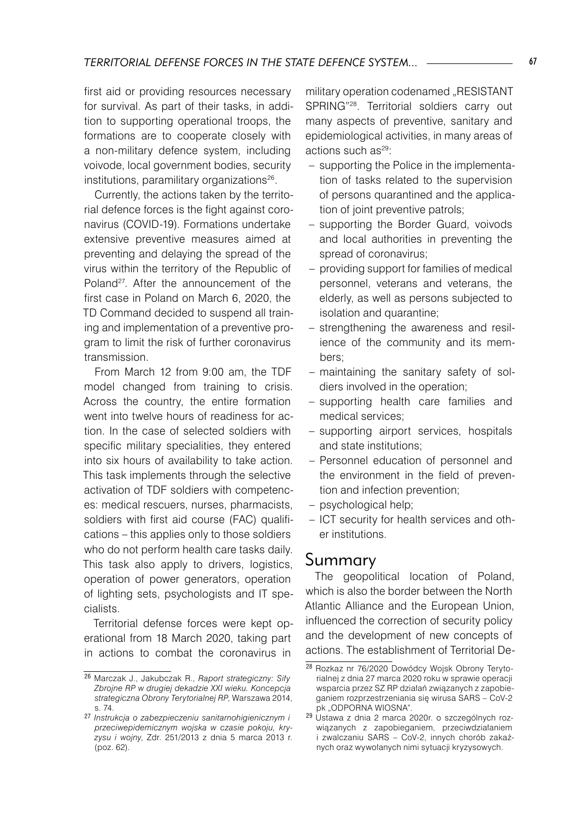first aid or providing resources necessary for survival. As part of their tasks, in addition to supporting operational troops, the formations are to cooperate closely with a non-military defence system, including voivode, local government bodies, security institutions, paramilitary organizations<sup>26</sup>.

Currently, the actions taken by the territorial defence forces is the fight against coronavirus (COVID-19). Formations undertake extensive preventive measures aimed at preventing and delaying the spread of the virus within the territory of the Republic of Poland27 . After the announcement of the first case in Poland on March 6, 2020, the TD Command decided to suspend all training and implementation of a preventive program to limit the risk of further coronavirus transmission.

From March 12 from 9:00 am, the TDF model changed from training to crisis. Across the country, the entire formation went into twelve hours of readiness for action. In the case of selected soldiers with specific military specialities, they entered into six hours of availability to take action. This task implements through the selective activation of TDF soldiers with competences: medical rescuers, nurses, pharmacists, soldiers with first aid course (FAC) qualifications – this applies only to those soldiers who do not perform health care tasks daily. This task also apply to drivers, logistics, operation of power generators, operation of lighting sets, psychologists and IT specialists.

Territorial defense forces were kept operational from 18 March 2020, taking part in actions to combat the coronavirus in

military operation codenamed "RESISTANT SPRING"28 . Territorial soldiers carry out many aspects of preventive, sanitary and epidemiological activities, in many areas of actions such as<sup>29</sup>:

- supporting the Police in the implementation of tasks related to the supervision of persons quarantined and the application of joint preventive patrols;
- supporting the Border Guard, voivods and local authorities in preventing the spread of coronavirus; –
- providing support for families of medical personnel, veterans and veterans, the elderly, as well as persons subjected to isolation and quarantine;
- strengthening the awareness and resilience of the community and its members; –
- maintaining the sanitary safety of sol-– diers involved in the operation;
- supporting health care families and medical services;
- supporting airport services, hospitals and state institutions;
- Personnel education of personnel and the environment in the field of prevention and infection prevention;
- psychological help;
- ICT security for health services and other institutions.

#### Summary

The geopolitical location of Poland, which is also the border between the North Atlantic Alliance and the European Union, influenced the correction of security policy and the development of new concepts of actions. The establishment of Territorial De-

<sup>26</sup> Marczak J., Jakubczak R., *Raport strategiczny: Siły Zbrojne RP w drugiej dekadzie XXI wieku. Koncepcja strategiczna Obrony Terytorialnej RP*, Warszawa 2014, s. 74.

<sup>27</sup> *Instrukcja o zabezpieczeniu sanitarnohigienicznym i przeciwepidemicznym wojska w czasie pokoju, kryzysu i wojny*, Zdr. 251/2013 z dnia 5 marca 2013 r. (poz. 62).

<sup>28</sup> Rozkaz nr 76/2020 Dowódcy Wojsk Obrony Terytorialnej z dnia 27 marca 2020 roku w sprawie operacji wsparcia przez SZ RP działań związanych z zapobieganiem rozprzestrzeniania się wirusa SARS – CoV-2 pk "ODPORNA WIOSNA".

<sup>&</sup>lt;sup>29</sup> Ustawa z dnia 2 marca 2020r. o szczególnych rozwiązanych z zapobieganiem, przeciwdziałaniem i zwalczaniu SARS – CoV-2, innych chorób zakaźnych oraz wywołanych nimi sytuacji kryzysowych.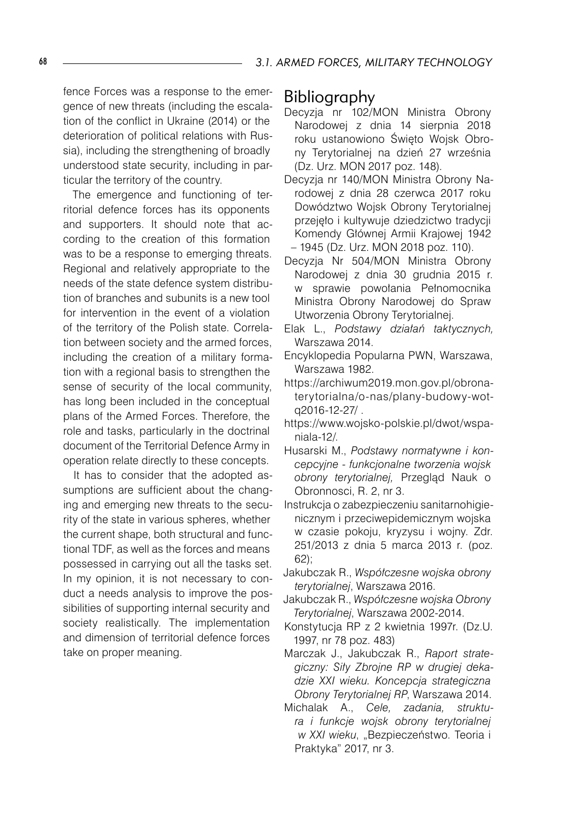fence Forces was a response to the emergence of new threats (including the escalation of the conflict in Ukraine (2014) or the deterioration of political relations with Russia), including the strengthening of broadly understood state security, including in particular the territory of the country.

The emergence and functioning of territorial defence forces has its opponents and supporters. It should note that according to the creation of this formation was to be a response to emerging threats. Regional and relatively appropriate to the needs of the state defence system distribution of branches and subunits is a new tool for intervention in the event of a violation of the territory of the Polish state. Correlation between society and the armed forces, including the creation of a military formation with a regional basis to strengthen the sense of security of the local community, has long been included in the conceptual plans of the Armed Forces. Therefore, the role and tasks, particularly in the doctrinal document of the Territorial Defence Army in operation relate directly to these concepts.

It has to consider that the adopted assumptions are sufficient about the changing and emerging new threats to the security of the state in various spheres, whether the current shape, both structural and functional TDF, as well as the forces and means possessed in carrying out all the tasks set. In my opinion, it is not necessary to conduct a needs analysis to improve the possibilities of supporting internal security and society realistically. The implementation and dimension of territorial defence forces take on proper meaning.

#### Bibliography

- Decyzja nr 102/MON Ministra Obrony Narodowej z dnia 14 sierpnia 2018 roku ustanowiono Święto Wojsk Obrony Terytorialnej na dzień 27 września (Dz. Urz. MON 2017 poz. 148).
- Decyzja nr 140/MON Ministra Obrony Narodowej z dnia 28 czerwca 2017 roku Dowództwo Wojsk Obrony Terytorialnej przejęło i kultywuje dziedzictwo tradycji Komendy Głównej Armii Krajowej 1942 – 1945 (Dz. Urz. MON 2018 poz. 110).
- Decyzja Nr 504/MON Ministra Obrony Narodowej z dnia 30 grudnia 2015 r. w sprawie powołania Pełnomocnika Ministra Obrony Narodowej do Spraw Utworzenia Obrony Terytorialnej.
- Elak L., *Podstawy działań taktycznych,*  Warszawa 2014.
- Encyklopedia Popularna PWN, Warszawa, Warszawa 1982.
- https://archiwum2019.mon.gov.pl/obronaterytorialna/o-nas/plany-budowy-wotq2016-12-27/ .
- https://www.wojsko-polskie.pl/dwot/wspaniala-12/.
- Husarski M., *Podstawy normatywne i koncepcyjne - funkcjonalne tworzenia wojsk obrony terytorialnej,* Przegląd Nauk o Obronnosci, R. 2, nr 3.
- Instrukcja o zabezpieczeniu sanitarnohigienicznym i przeciwepidemicznym wojska w czasie pokoju, kryzysu i wojny. Zdr. 251/2013 z dnia 5 marca 2013 r. (poz. 62);
- Jakubczak R., *Współczesne wojska obrony terytorialnej*, Warszawa 2016.
- Jakubczak R., *Współczesne wojska Obrony Terytorialnej*, Warszawa 2002-2014.
- Konstytucja RP z 2 kwietnia 1997r. (Dz.U. 1997, nr 78 poz. 483)
- Marczak J., Jakubczak R., *Raport strategiczny: Siły Zbrojne RP w drugiej dekadzie XXI wieku. Koncepcja strategiczna Obrony Terytorialnej RP*, Warszawa 2014.
- Michalak A., *Cele, zadania, struktura i funkcje wojsk obrony terytorialnej w XXI wieku*, "Bezpieczeństwo. Teoria i Praktyka" 2017, nr 3.